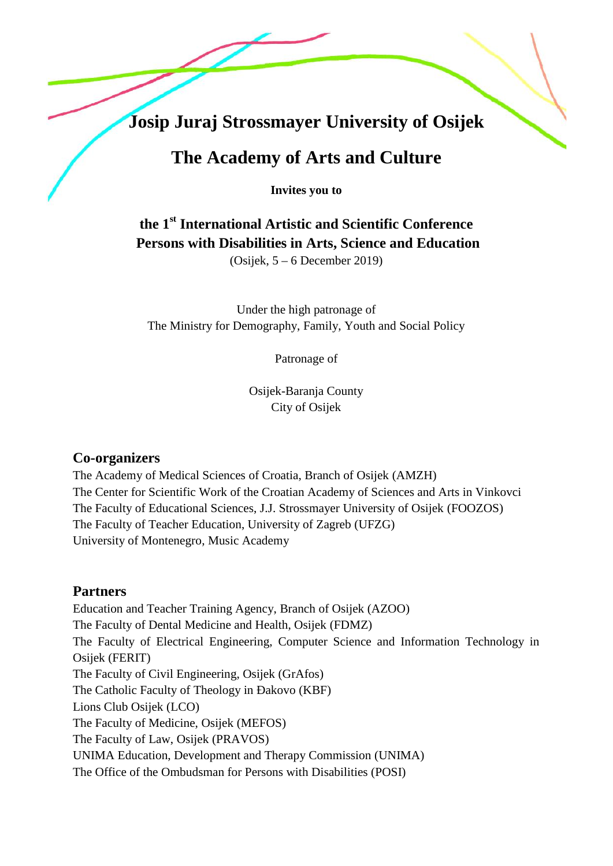# **Josip Juraj Strossmayer University of Osijek**

# **The Academy of Arts and Culture**

**Invites you to**

# **the 1st International Artistic and Scientific Conference Persons with Disabilities in Arts, Science and Education**

(Osijek, 5 – 6 December 2019)

Under the high patronage of The Ministry for Demography, Family, Youth and Social Policy

Patronage of

Osijek-Baranja County City of Osijek

#### **Co-organizers**

The Academy of Medical Sciences of Croatia, Branch of Osijek (AMZH) The Center for Scientific Work of the Croatian Academy of Sciences and Arts in Vinkovci The Faculty of Educational Sciences, J.J. Strossmayer University of Osijek (FOOZOS) The Faculty of Teacher Education, University of Zagreb (UFZG) University of Montenegro, Music Academy

#### **Partners**

Education and Teacher Training Agency, Branch of Osijek (AZOO) The Faculty of Dental Medicine and Health, Osijek (FDMZ) The Faculty of Electrical Engineering, Computer Science and Information Technology in Osijek (FERIT) The Faculty of Civil Engineering, Osijek (GrAfos) The Catholic Faculty of Theology in akovo (KBF) Lions Club Osijek (LCO) The Faculty of Medicine, Osijek (MEFOS) The Faculty of Law, Osijek (PRAVOS) UNIMA Education, Development and Therapy Commission (UNIMA) The Office of the Ombudsman for Persons with Disabilities (POSI)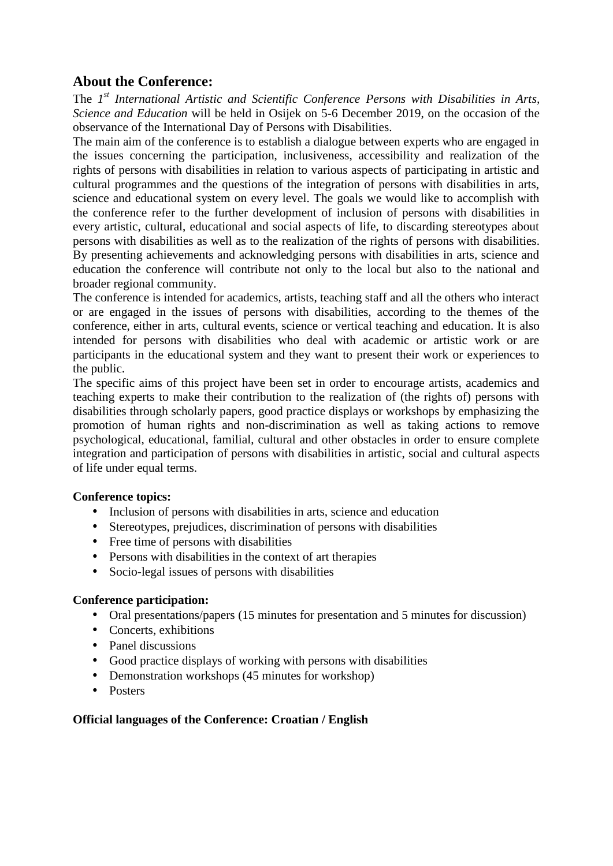## **About the Conference:**

The *1 st International Artistic and Scientific Conference Persons with Disabilities in Arts, Science and Education* will be held in Osijek on 5-6 December 2019, on the occasion of the observance of the International Day of Persons with Disabilities.

The main aim of the conference is to establish a dialogue between experts who are engaged in the issues concerning the participation, inclusiveness, accessibility and realization of the rights of persons with disabilities in relation to various aspects of participating in artistic and cultural programmes and the questions of the integration of persons with disabilities in arts, science and educational system on every level. The goals we would like to accomplish with the conference refer to the further development of inclusion of persons with disabilities in every artistic, cultural, educational and social aspects of life, to discarding stereotypes about persons with disabilities as well as to the realization of the rights of persons with disabilities. By presenting achievements and acknowledging persons with disabilities in arts, science and education the conference will contribute not only to the local but also to the national and broader regional community.

The conference is intended for academics, artists, teaching staff and all the others who interact or are engaged in the issues of persons with disabilities, according to the themes of the conference, either in arts, cultural events, science or vertical teaching and education. It is also intended for persons with disabilities who deal with academic or artistic work or are participants in the educational system and they want to present their work or experiences to the public.

The specific aims of this project have been set in order to encourage artists, academics and teaching experts to make their contribution to the realization of (the rights of) persons with disabilities through scholarly papers, good practice displays or workshops by emphasizing the promotion of human rights and non-discrimination as well as taking actions to remove psychological, educational, familial, cultural and other obstacles in order to ensure complete integration and participation of persons with disabilities in artistic, social and cultural aspects of life under equal terms.

#### **Conference topics:**

- Inclusion of persons with disabilities in arts, science and education
- Stereotypes, prejudices, discrimination of persons with disabilities
- Free time of persons with disabilities
- Persons with disabilities in the context of art therapies
- Socio-legal issues of persons with disabilities

#### **Conference participation:**

- Oral presentations/papers (15 minutes for presentation and 5 minutes for discussion)
- Concerts, exhibitions
- Panel discussions
- Good practice displays of working with persons with disabilities
- Demonstration workshops (45 minutes for workshop)
- Posters

#### **Official languages of the Conference: Croatian / English**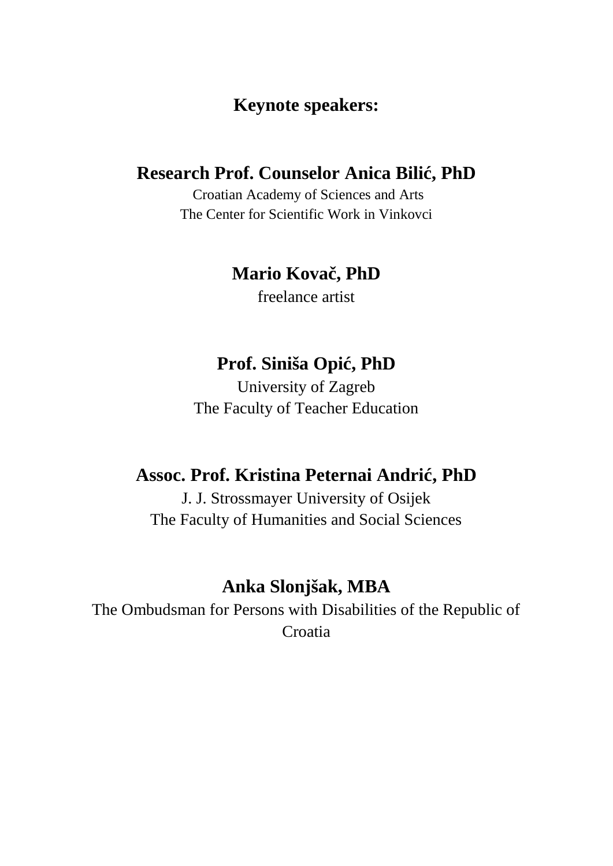## **Keynote speakers:**

## **Research Prof. Counselor Anica Bili, PhD**

Croatian Academy of Sciences and Arts The Center for Scientific Work in Vinkovci

# **Mario Kova**, PhD

freelance artist

# **Prof.** Siniša Opi, PhD

University of Zagreb The Faculty of Teacher Education

# **Assoc. Prof. Kristina Peternai Andrić, PhD**

J. J. Strossmayer University of Osijek The Faculty of Humanities and Social Sciences

# **Anka Slonjšak, MBA**

The Ombudsman for Persons with Disabilities of the Republic of Croatia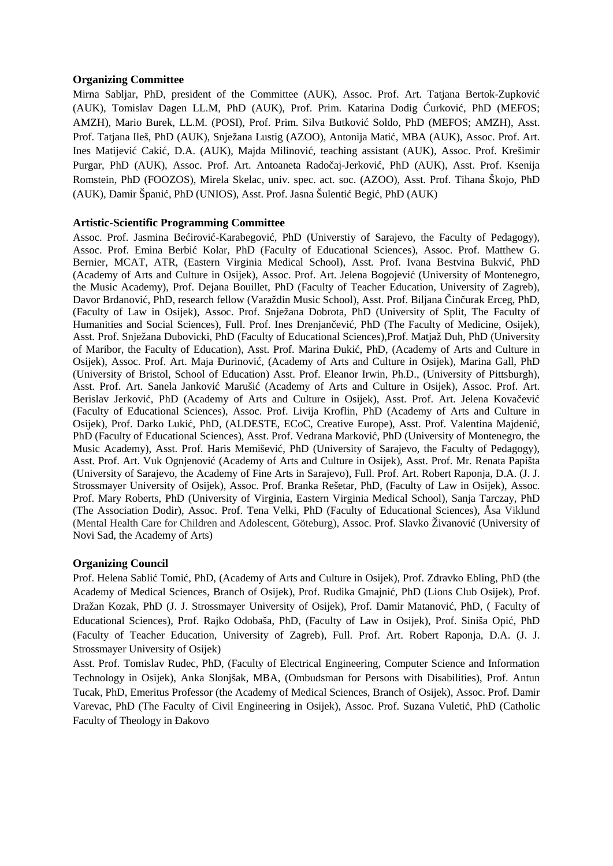#### **Organizing Committee**

Mirna Sabljar, PhD, president of the Committee (AUK), Assoc. Prof. Art. Tatjana Bertok-Zupković (AUK), Tomislav Dagen LL.M, PhD (AUK), Prof. Prim. Katarina Dodig urkovi, PhD (MEFOS; AMZH), Mario Burek, LL.M. (POSI), Prof. Prim. Silva Butković Soldo, PhD (MEFOS; AMZH), Asst. Prof. Tatjana Ileš, PhD (AUK), Snježana Lustig (AZOO), Antonija Mati, MBA (AUK), Assoc. Prof. Art. Ines Matijevi Caki, D.A. (AUK), Majda Milinovi, teaching assistant (AUK), Assoc. Prof. Krešimir Purgar, PhD (AUK), Assoc. Prof. Art. Antoaneta Rado aj-Jerkovi , PhD (AUK), Asst. Prof. Ksenija Romstein, PhD (FOOZOS), Mirela Skelac, univ. spec. act. soc. (AZOO), Asst. Prof. Tihana Škojo, PhD (AUK), Damir Špani, PhD (UNIOS), Asst. Prof. Jasna Šulenti Begi, PhD (AUK)

#### **Artistic-Scientific Programming Committee**

Assoc. Prof. Jasmina Be irovi -Karabegovi , PhD (Universtiy of Sarajevo, the Faculty of Pedagogy), Assoc. Prof. Emina Berbi Kolar, PhD (Faculty of Educational Sciences), Assoc. Prof. Matthew G. Bernier, MCAT, ATR, (Eastern Virginia Medical School), Asst. Prof. Ivana Bestvina Bukvi , PhD (Academy of Arts and Culture in Osijek), Assoc. Prof. Art. Jelena Bogojevi (University of Montenegro, the Music Academy), Prof. Dejana Bouillet, PhD (Faculty of Teacher Education, University of Zagreb), Davor Br anovi, PhD, research fellow (Varaždin Music School), Asst. Prof. Biljana in urak Erceg, PhD, (Faculty of Law in Osijek), Assoc. Prof. Snježana Dobrota, PhD (University of Split, The Faculty of Humanities and Social Sciences), Full. Prof. Ines Drenjan evi, PhD (The Faculty of Medicine, Osijek), Asst. Prof. Snježana Dubovicki, PhD (Faculty of Educational Sciences),Prof. Matjaž Duh, PhD (University of Maribor, the Faculty of Education), Asst. Prof. Marina uki, PhD, (Academy of Arts and Culture in Osijek), Assoc. Prof. Art. Maja urinovi, (Academy of Arts and Culture in Osijek), Marina Gall, PhD (University of Bristol, School of Education) Asst. Prof. Eleanor Irwin, Ph.D., (University of Pittsburgh), Asst. Prof. Art. Sanela Jankovi Maruši (Academy of Arts and Culture in Osijek), Assoc. Prof. Art. Berislav Jerkovi , PhD (Academy of Arts and Culture in Osijek), Asst. Prof. Art. Jelena Kova evi (Faculty of Educational Sciences), Assoc. Prof. Livija Kroflin, PhD (Academy of Arts and Culture in Osijek), Prof. Darko Luki, PhD, (ALDESTE, ECoC, Creative Europe), Asst. Prof. Valentina Majdeni, PhD (Faculty of Educational Sciences), Asst. Prof. Vedrana Markovi, PhD (University of Montenegro, the Music Academy), Asst. Prof. Haris Memiševi, PhD (University of Sarajevo, the Faculty of Pedagogy), Asst. Prof. Art. Vuk Ognjenovi (Academy of Arts and Culture in Osijek), Asst. Prof. Mr. Renata Papišta (University of Sarajevo, the Academy of Fine Arts in Sarajevo), Full. Prof. Art. Robert Raponja, D.A. (J. J. Strossmayer University of Osijek), Assoc. Prof. Branka Rešetar, PhD, (Faculty of Law in Osijek), Assoc. Prof. Mary Roberts, PhD (University of Virginia, Eastern Virginia Medical School), Sanja Tarczay, PhD (The Association Dodir), Assoc. Prof. Tena Velki, PhD (Faculty of Educational Sciences), Åsa Viklund (Mental Health Care for Children and Adolescent, Göteburg), Assoc. Prof. Slavko Živanovi (University of Novi Sad, the Academy of Arts)

#### **Organizing Council**

Prof. Helena Sabli Tomi, PhD, (Academy of Arts and Culture in Osijek), Prof. Zdravko Ebling, PhD (the Academy of Medical Sciences, Branch of Osijek), Prof. Rudika Gmajni, PhD (Lions Club Osijek), Prof. Dražan Kozak, PhD (J. J. Strossmayer University of Osijek), Prof. Damir Matanovi, PhD, ( Faculty of Educational Sciences), Prof. Rajko Odobaša, PhD, (Faculty of Law in Osijek), Prof. Siniša Opi, PhD (Faculty of Teacher Education, University of Zagreb), Full. Prof. Art. Robert Raponja, D.A. (J. J. Strossmayer University of Osijek)

Asst. Prof. Tomislav Rudec, PhD, (Faculty of Electrical Engineering, Computer Science and Information Technology in Osijek), Anka Slonjšak, MBA, (Ombudsman for Persons with Disabilities), Prof. Antun Tucak, PhD, Emeritus Professor (the Academy of Medical Sciences, Branch of Osijek), Assoc. Prof. Damir Varevac, PhD (The Faculty of Civil Engineering in Osijek), Assoc. Prof. Suzana Vuleti, PhD (Catholic Faculty of Theology in akovo